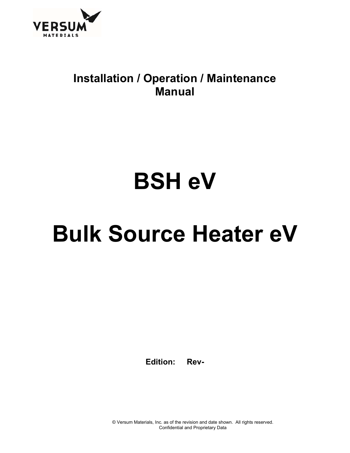

### **Installation / Operation / Maintenance Manual**

# **BSH eV**

## **Bulk Source Heater eV**

**Edition: Rev-** 

© Versum Materials, Inc. as of the revision and date shown. All rights reserved. Confidential and Proprietary Data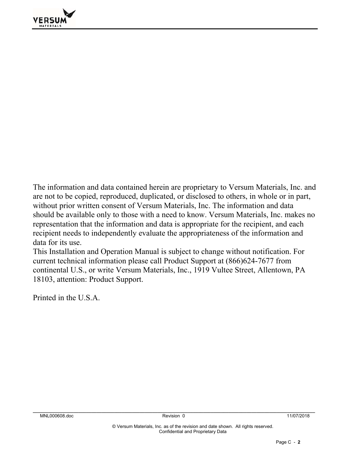

The information and data contained herein are proprietary to Versum Materials, Inc. and are not to be copied, reproduced, duplicated, or disclosed to others, in whole or in part, without prior written consent of Versum Materials, Inc. The information and data should be available only to those with a need to know. Versum Materials, Inc. makes no representation that the information and data is appropriate for the recipient, and each recipient needs to independently evaluate the appropriateness of the information and data for its use.

This Installation and Operation Manual is subject to change without notification. For current technical information please call Product Support at (866)624-7677 from continental U.S., or write Versum Materials, Inc., 1919 Vultee Street, Allentown, PA 18103, attention: Product Support.

Printed in the U.S.A.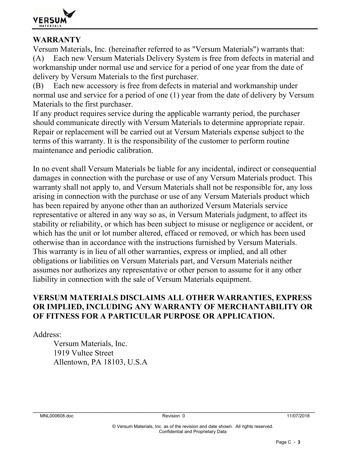

#### **WARRANTY**

Versum Materials, Inc. (hereinafter referred to as "Versum Materials") warrants that: (A) Each new Versum Materials Delivery System is free from defects in material and workmanship under normal use and service for a period of one year from the date of delivery by Versum Materials to the first purchaser.

(B) Each new accessory is free from defects in material and workmanship under normal use and service for a period of one (1) year from the date of delivery by Versum Materials to the first purchaser.

If any product requires service during the applicable warranty period, the purchaser should communicate directly with Versum Materials to determine appropriate repair. Repair or replacement will be carried out at Versum Materials expense subject to the terms of this warranty. It is the responsibility of the customer to perform routine maintenance and periodic calibration.

In no event shall Versum Materials be liable for any incidental, indirect or consequential damages in connection with the purchase or use of any Versum Materials product. This warranty shall not apply to, and Versum Materials shall not be responsible for, any loss arising in connection with the purchase or use of any Versum Materials product which has been repaired by anyone other than an authorized Versum Materials service representative or altered in any way so as, in Versum Materials judgment, to affect its stability or reliability, or which has been subject to misuse or negligence or accident, or which has the unit or lot number altered, effaced or removed, or which has been used otherwise than in accordance with the instructions furnished by Versum Materials. This warranty is in lieu of all other warranties, express or implied, and all other obligations or liabilities on Versum Materials part, and Versum Materials neither assumes nor authorizes any representative or other person to assume for it any other liability in connection with the sale of Versum Materials equipment.

#### **VERSUM MATERIALS DISCLAIMS ALL OTHER WARRANTIES, EXPRESS OR IMPLIED, INCLUDING ANY WARRANTY OF MERCHANTABILITY OR OF FITNESS FOR A PARTICULAR PURPOSE OR APPLICATION.**

Address:

 Versum Materials, Inc. 1919 Vultee Street Allentown, PA 18103, U.S.A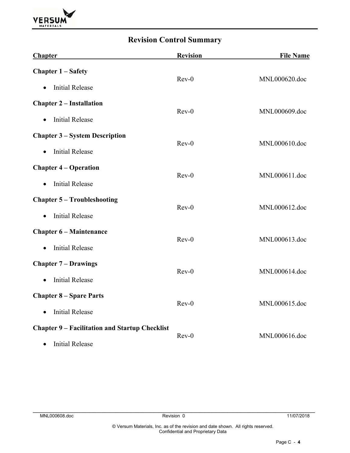

### **Revision Control Summary**

| <b>Chapter</b>                                        | <b>Revision</b> | <b>File Name</b> |  |
|-------------------------------------------------------|-----------------|------------------|--|
| <b>Chapter 1 – Safety</b>                             | $Rev-0$         | MNL000620.doc    |  |
| <b>Initial Release</b><br>$\bullet$                   |                 |                  |  |
| <b>Chapter 2 – Installation</b>                       | $Rev-0$         | MNL000609.doc    |  |
| <b>Initial Release</b><br>$\bullet$                   |                 |                  |  |
| <b>Chapter 3 – System Description</b>                 | $Rev-0$         | MNL000610.doc    |  |
| <b>Initial Release</b><br>$\bullet$                   |                 |                  |  |
| <b>Chapter 4 – Operation</b>                          | $Rev-0$         | MNL000611.doc    |  |
| <b>Initial Release</b><br>$\bullet$                   |                 |                  |  |
| <b>Chapter 5 - Troubleshooting</b>                    | $Rev-0$         | MNL000612.doc    |  |
| <b>Initial Release</b><br>$\bullet$                   |                 |                  |  |
| <b>Chapter 6 – Maintenance</b>                        | $Rev-0$         | MNL000613.doc    |  |
| <b>Initial Release</b><br>$\bullet$                   |                 |                  |  |
| <b>Chapter 7 – Drawings</b>                           | $Rev-0$         | MNL000614.doc    |  |
| <b>Initial Release</b><br>$\bullet$                   |                 |                  |  |
| <b>Chapter 8 – Spare Parts</b>                        | $Rev-0$         | MNL000615.doc    |  |
| <b>Initial Release</b><br>$\bullet$                   |                 |                  |  |
| <b>Chapter 9 – Facilitation and Startup Checklist</b> |                 |                  |  |
| <b>Initial Release</b><br>$\bullet$                   | $Rev-0$         | MNL000616.doc    |  |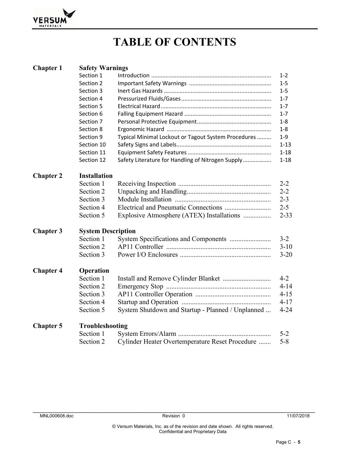

## **TABLE OF CONTENTS**

| <b>Chapter 1</b> | <b>Safety Warnings</b>    |                                                     |          |  |  |  |
|------------------|---------------------------|-----------------------------------------------------|----------|--|--|--|
|                  | Section 1                 |                                                     | $1 - 2$  |  |  |  |
|                  | Section 2                 |                                                     | $1 - 5$  |  |  |  |
|                  | Section 3                 |                                                     | 1-5      |  |  |  |
|                  | Section 4                 |                                                     | $1 - 7$  |  |  |  |
|                  | Section 5                 |                                                     | $1 - 7$  |  |  |  |
|                  | Section 6                 |                                                     | $1 - 7$  |  |  |  |
|                  | Section 7                 |                                                     | $1 - 8$  |  |  |  |
|                  | Section 8                 |                                                     | 1-8      |  |  |  |
|                  | Section 9                 | Typical Minimal Lockout or Tagout System Procedures | $1 - 9$  |  |  |  |
|                  | Section 10                |                                                     | $1 - 13$ |  |  |  |
|                  | Section 11                |                                                     | $1 - 18$ |  |  |  |
|                  | Section 12                | Safety Literature for Handling of Nitrogen Supply   | $1 - 18$ |  |  |  |
| <b>Chapter 2</b> | <b>Installation</b>       |                                                     |          |  |  |  |
|                  | Section 1                 |                                                     | $2 - 2$  |  |  |  |
|                  | Section 2                 |                                                     | $2 - 2$  |  |  |  |
|                  | Section 3                 |                                                     | $2 - 3$  |  |  |  |
|                  | Section 4                 |                                                     | $2 - 5$  |  |  |  |
|                  | Section 5                 | Explosive Atmosphere (ATEX) Installations           | $2 - 33$ |  |  |  |
| <b>Chapter 3</b> | <b>System Description</b> |                                                     |          |  |  |  |
|                  | Section 1                 |                                                     | $3 - 2$  |  |  |  |
|                  | Section 2                 |                                                     | $3 - 10$ |  |  |  |
|                  | Section 3                 |                                                     | $3 - 20$ |  |  |  |
| <b>Chapter 4</b> | Operation                 |                                                     |          |  |  |  |
|                  | Section 1                 |                                                     | $4 - 2$  |  |  |  |
|                  | Section 2                 |                                                     | $4 - 14$ |  |  |  |
|                  | Section 3                 |                                                     | $4 - 15$ |  |  |  |
|                  | Section 4                 |                                                     | $4 - 17$ |  |  |  |
|                  | Section 5                 | System Shutdown and Startup - Planned / Unplanned   | $4 - 24$ |  |  |  |
| <b>Chapter 5</b> | Troubleshooting           |                                                     |          |  |  |  |
|                  | Section 1                 |                                                     | $5 - 2$  |  |  |  |
|                  | Section 2                 | Cylinder Heater Overtemperature Reset Procedure     | $5 - 8$  |  |  |  |
|                  |                           |                                                     |          |  |  |  |